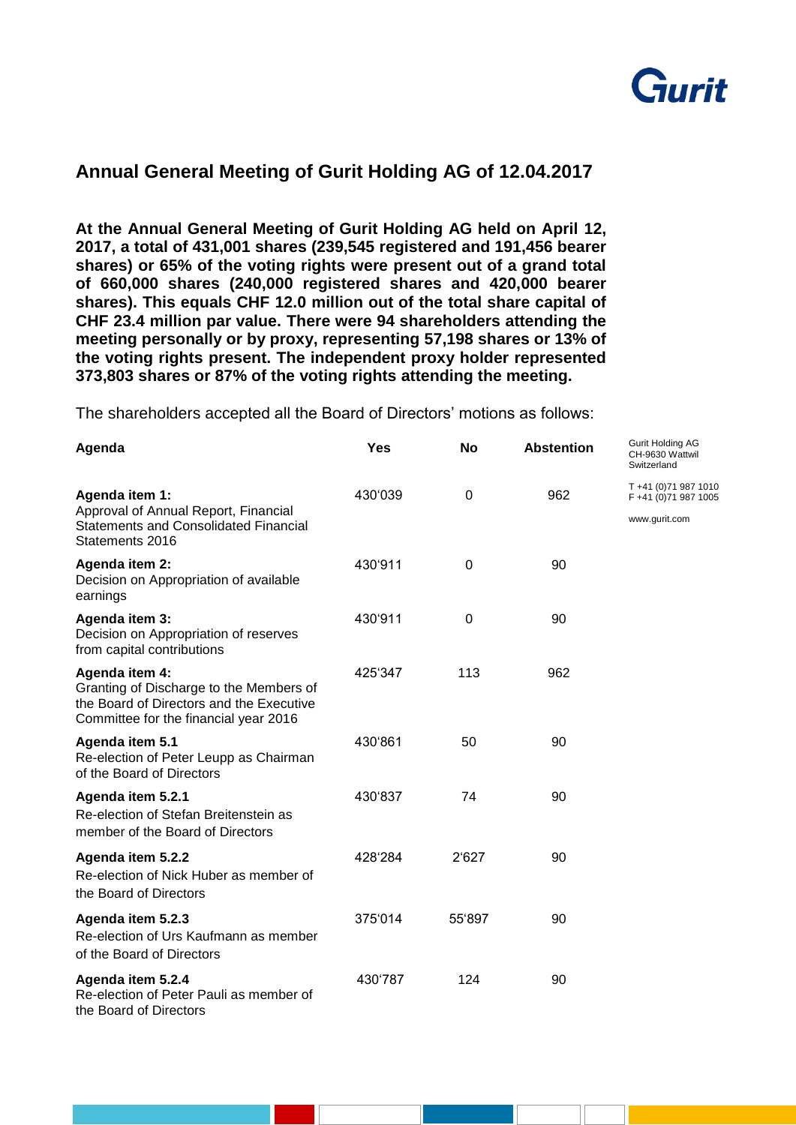

## **Annual General Meeting of Gurit Holding AG of 12.04.2017**

**At the Annual General Meeting of Gurit Holding AG held on April 12, 2017, a total of 431,001 shares (239,545 registered and 191,456 bearer shares) or 65% of the voting rights were present out of a grand total of 660,000 shares (240,000 registered shares and 420,000 bearer shares). This equals CHF 12.0 million out of the total share capital of CHF 23.4 million par value. There were 94 shareholders attending the meeting personally or by proxy, representing 57,198 shares or 13% of the voting rights present. The independent proxy holder represented 373,803 shares or 87% of the voting rights attending the meeting.** 

The shareholders accepted all the Board of Directors' motions as follows:

| Agenda                                                                                                                                         | <b>Yes</b> | <b>No</b> | <b>Abstention</b> | Gurit Holding AG<br>CH-9630 Wattwil<br>Switzerland             |
|------------------------------------------------------------------------------------------------------------------------------------------------|------------|-----------|-------------------|----------------------------------------------------------------|
| Agenda item 1:<br>Approval of Annual Report, Financial<br><b>Statements and Consolidated Financial</b><br>Statements 2016                      | 430'039    | 0         | 962               | T +41 (0) 71 987 1010<br>F +41 (0)71 987 1005<br>www.gurit.com |
| Agenda item 2:<br>Decision on Appropriation of available<br>earnings                                                                           | 430'911    | 0         | 90                |                                                                |
| Agenda item 3:<br>Decision on Appropriation of reserves<br>from capital contributions                                                          | 430'911    | 0         | 90                |                                                                |
| Agenda item 4:<br>Granting of Discharge to the Members of<br>the Board of Directors and the Executive<br>Committee for the financial year 2016 | 425'347    | 113       | 962               |                                                                |
| Agenda item 5.1<br>Re-election of Peter Leupp as Chairman<br>of the Board of Directors                                                         | 430'861    | 50        | 90                |                                                                |
| Agenda item 5.2.1<br>Re-election of Stefan Breitenstein as<br>member of the Board of Directors                                                 | 430'837    | 74        | 90                |                                                                |
| Agenda item 5.2.2<br>Re-election of Nick Huber as member of<br>the Board of Directors                                                          | 428'284    | 2'627     | 90                |                                                                |
| Agenda item 5.2.3<br>Re-election of Urs Kaufmann as member<br>of the Board of Directors                                                        | 375'014    | 55'897    | 90                |                                                                |
| Agenda item 5.2.4<br>Re-election of Peter Pauli as member of<br>the Board of Directors                                                         | 430'787    | 124       | 90                |                                                                |